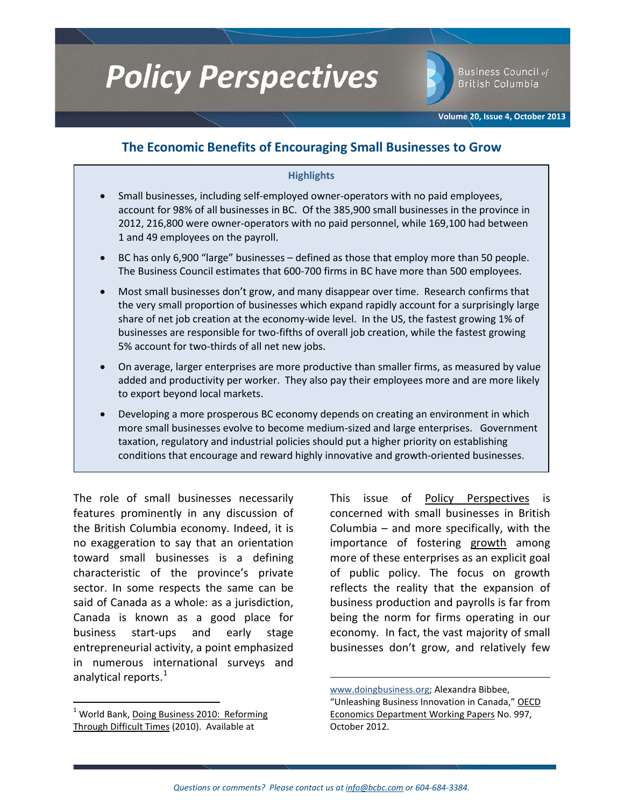# **Policy Perspectives**

Business Council of **British Columbia** 

**Volume 20, Issue 4, October 2013**

## **The Economic Benefits of Encouraging Small Businesses to Grow**

### **Highlights**

- Small businesses, including self-employed owner-operators with no paid employees, account for 98% of all businesses in BC. Of the 385,900 small businesses in the province in 2012, 216,800 were owner-operators with no paid personnel, while 169,100 had between 1 and 49 employees on the payroll.
- BC has only 6,900 "large" businesses defined as those that employ more than 50 people. The Business Council estimates that 600-700 firms in BC have more than 500 employees.
- Most small businesses don't grow, and many disappear over time. Research confirms that the very small proportion of businesses which expand rapidly account for a surprisingly large share of net job creation at the economy-wide level. In the US, the fastest growing 1% of businesses are responsible for two-fifths of overall job creation, while the fastest growing 5% account for two-thirds of all net new jobs.
- On average, larger enterprises are more productive than smaller firms, as measured by value added and productivity per worker. They also pay their employees more and are more likely to export beyond local markets.
- Developing a more prosperous BC economy depends on creating an environment in which more small businesses evolve to become medium-sized and large enterprises. Government taxation, regulatory and industrial policies should put a higher priority on establishing conditions that encourage and reward highly innovative and growth-oriented businesses.

The role of small businesses necessarily features prominently in any discussion of the British Columbia economy. Indeed, it is no exaggeration to say that an orientation toward small businesses is a defining characteristic of the province's private sector. In some respects the same can be said of Canada as a whole: as a jurisdiction, Canada is known as a good place for business start-ups and early stage entrepreneurial activity, a point emphasized in numerous international surveys and analytical reports.<sup>[1](#page-0-0)</sup>

This issue of Policy Perspectives is concerned with small businesses in British Columbia – and more specifically, with the importance of fostering growth among more of these enterprises as an explicit goal of public policy. The focus on growth reflects the reality that the expansion of business production and payrolls is far from being the norm for firms operating in our economy. In fact, the vast majority of small businesses don't grow, and relatively few

[www.doingbusiness.org;](http://www.doingbusiness.org/) Alexandra Bibbee, "Unleashing Business Innovation in Canada," OECD Economics Department Working Papers No. 997, October 2012.

 $\overline{\phantom{a}}$ 

<span id="page-0-0"></span><sup>&</sup>lt;sup>1</sup> World Bank, Doing Business 2010: Reforming Through Difficult Times (2010). Available at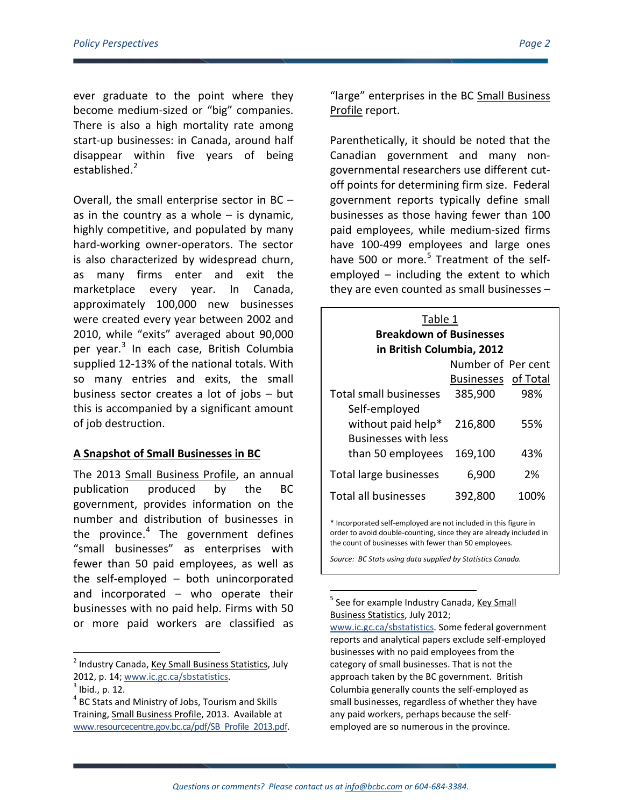ever graduate to the point where they become medium-sized or "big" companies. There is also a high mortality rate among start-up businesses: in Canada, around half disappear within five years of being established.<sup>[2](#page-1-0)</sup>

Overall, the small enterprise sector in BC – as in the country as a whole  $-$  is dynamic, highly competitive, and populated by many hard-working owner-operators. The sector is also characterized by widespread churn, as many firms enter and exit the marketplace every year. In Canada, approximately 100,000 new businesses were created every year between 2002 and 2010, while "exits" averaged about 90,000 per year. $3$  In each case, British Columbia supplied 12-13% of the national totals. With so many entries and exits, the small business sector creates a lot of jobs – but this is accompanied by a significant amount of job destruction.

### **A Snapshot of Small Businesses in BC**

The 2013 Small Business Profile, an annual publication produced by the BC government, provides information on the number and distribution of businesses in the province. $4$  The government defines "small businesses" as enterprises with fewer than 50 paid employees, as well as the self-employed – both unincorporated and incorporated – who operate their businesses with no paid help. Firms with 50 or more paid workers are classified as

<span id="page-1-3"></span><span id="page-1-0"></span><sup>2</sup> Industry Canada, Key Small Business Statistics, July 2012, p. 14; [www.ic.gc.ca/sbstatistics.](http://www.ic.gc.ca/sbstatistics) <sup>3</sup> Ibid., p. 12.

"large" enterprises in the BC Small Business Profile report.

Parenthetically, it should be noted that the Canadian government and many nongovernmental researchers use different cutoff points for determining firm size. Federal government reports typically define small businesses as those having fewer than 100 paid employees, while medium-sized firms have 100-499 employees and large ones have [5](#page-1-3)00 or more. $5$  Treatment of the selfemployed – including the extent to which they are even counted as small businesses –

| Table 1<br><b>Breakdown of Businesses</b>       |                     |      |  |
|-------------------------------------------------|---------------------|------|--|
| in British Columbia, 2012<br>Number of Per cent |                     |      |  |
|                                                 |                     |      |  |
|                                                 | Businesses of Total |      |  |
| <b>Total small businesses</b>                   | 385,900             | 98%  |  |
| Self-employed                                   |                     |      |  |
| without paid help*                              | 216,800             | 55%  |  |
| Businesses with less                            |                     |      |  |
| than 50 employees                               | 169,100             | 43%  |  |
| Total large businesses                          | 6,900               | 2%   |  |
| <b>Total all businesses</b>                     | 392,800             | 100% |  |
|                                                 |                     |      |  |

\* Incorporated self-employed are not included in this figure in order to avoid double-counting, since they are already included in the count of businesses with fewer than 50 employees.

*Source: BC Stats using data supplied by Statistics Canada.*

See for example Industry Canada, Key Small Business Statistics, July 2012; [www.ic.gc.ca/sbstatistics.](http://www.ic.gc.ca/sbstatistics) Some federal government reports and analytical papers exclude self-employed businesses with no paid employees from the category of small businesses. That is not the approach taken by the BC government. British Columbia generally counts the self-employed as small businesses, regardless of whether they have any paid workers, perhaps because the selfemployed are so numerous in the province.

<span id="page-1-1"></span>

<span id="page-1-2"></span><sup>4</sup> BC Stats and Ministry of Jobs, Tourism and Skills Training, Small Business Profile, 2013. Available at [www.resourcecentre.gov.bc.ca/pdf/SB\\_Profile\\_2013.pdf.](http://www.resourcecentre.gov.bc.ca/pdf/SB_Profile_2013.pdf)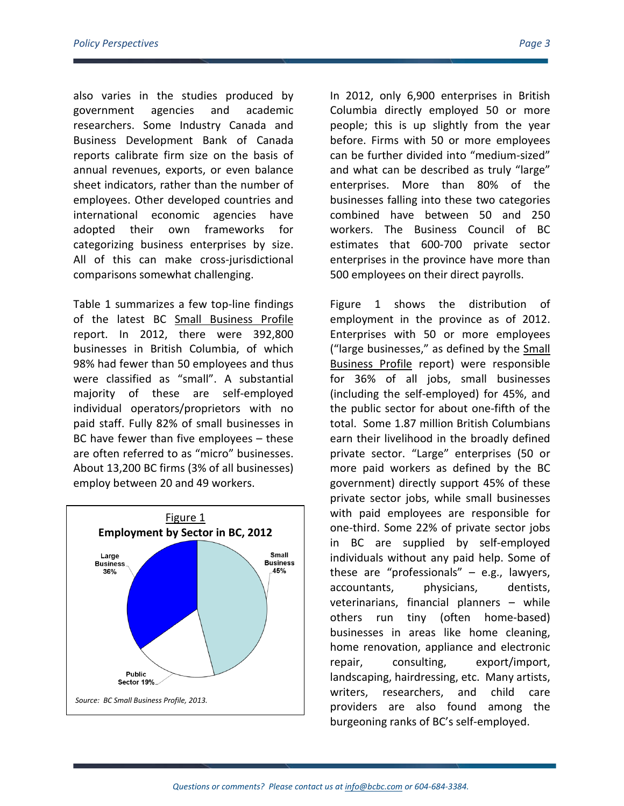also varies in the studies produced by government agencies and academic researchers. Some Industry Canada and Business Development Bank of Canada reports calibrate firm size on the basis of annual revenues, exports, or even balance sheet indicators, rather than the number of employees. Other developed countries and international economic agencies have adopted their own frameworks for categorizing business enterprises by size. All of this can make cross-jurisdictional comparisons somewhat challenging.

Table 1 summarizes a few top-line findings of the latest BC Small Business Profile report. In 2012, there were 392,800 businesses in British Columbia, of which 98% had fewer than 50 employees and thus were classified as "small". A substantial majority of these are self-employed individual operators/proprietors with no paid staff. Fully 82% of small businesses in BC have fewer than five employees – these are often referred to as "micro" businesses. About 13,200 BC firms (3% of all businesses) employ between 20 and 49 workers.



In 2012, only 6,900 enterprises in British Columbia directly employed 50 or more people; this is up slightly from the year before. Firms with 50 or more employees can be further divided into "medium-sized" and what can be described as truly "large" enterprises. More than 80% of the businesses falling into these two categories combined have between 50 and 250 workers. The Business Council of BC estimates that 600-700 private sector enterprises in the province have more than 500 employees on their direct payrolls.

Figure 1 shows the distribution of employment in the province as of 2012. Enterprises with 50 or more employees ("large businesses," as defined by the Small Business Profile report) were responsible for 36% of all jobs, small businesses (including the self-employed) for 45%, and the public sector for about one-fifth of the total. Some 1.87 million British Columbians earn their livelihood in the broadly defined private sector. "Large" enterprises (50 or more paid workers as defined by the BC government) directly support 45% of these private sector jobs, while small businesses with paid employees are responsible for one-third. Some 22% of private sector jobs in BC are supplied by self-employed individuals without any paid help. Some of these are "professionals" – e.g., lawyers, accountants, physicians, dentists, veterinarians, financial planners – while others run tiny (often home-based) businesses in areas like home cleaning, home renovation, appliance and electronic repair, consulting, export/import, landscaping, hairdressing, etc. Many artists, writers, researchers, and child care providers are also found among the burgeoning ranks of BC's self-employed.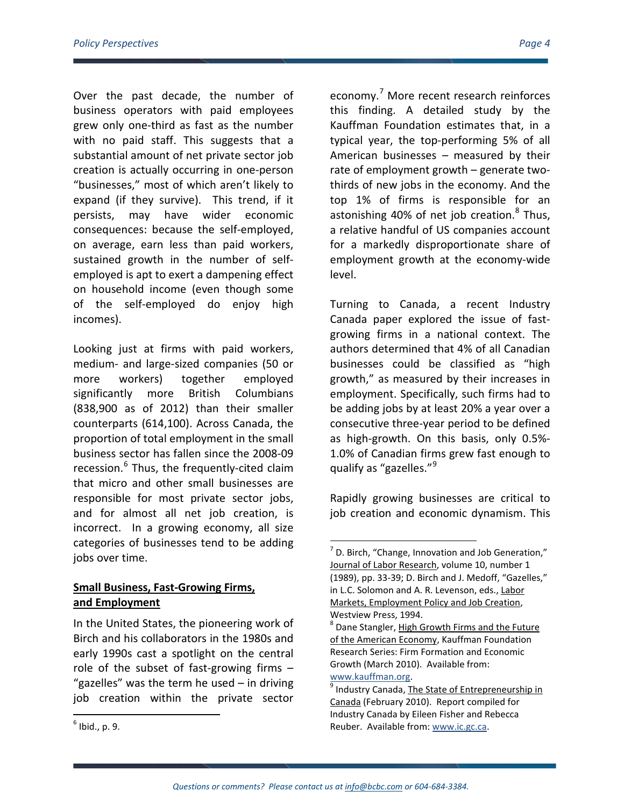Over the past decade, the number of business operators with paid employees grew only one-third as fast as the number with no paid staff. This suggests that a substantial amount of net private sector job creation is actually occurring in one-person "businesses," most of which aren't likely to expand (if they survive). This trend, if it persists, may have wider economic consequences: because the self-employed, on average, earn less than paid workers, sustained growth in the number of selfemployed is apt to exert a dampening effect on household income (even though some of the self-employed do enjoy high incomes).

Looking just at firms with paid workers, medium- and large-sized companies (50 or more workers) together employed significantly more British Columbians (838,900 as of 2012) than their smaller counterparts (614,100). Across Canada, the proportion of total employment in the small business sector has fallen since the 2008-09 recession.<sup>[6](#page-3-0)</sup> Thus, the frequently-cited claim that micro and other small businesses are responsible for most private sector jobs, and for almost all net job creation, is incorrect. In a growing economy, all size categories of businesses tend to be adding jobs over time.

### <span id="page-3-1"></span>**Small Business, Fast-Growing Firms, and Employment**

<span id="page-3-3"></span><span id="page-3-0"></span> $<sup>6</sup>$  Ibid., p. 9.</sup>

<span id="page-3-2"></span>In the United States, the pioneering work of Birch and his collaborators in the 1980s and early 1990s cast a spotlight on the central role of the subset of fast-growing firms – "gazelles" was the term he used – in driving job creation within the private sector

economy. [7](#page-3-1) More recent research reinforces this finding. A detailed study by the Kauffman Foundation estimates that, in a typical year, the top-performing 5% of all American businesses – measured by their rate of employment growth – generate twothirds of new jobs in the economy. And the top 1% of firms is responsible for an astonishing 40% of net job creation. $8$  Thus, a relative handful of US companies account for a markedly disproportionate share of employment growth at the economy-wide level.

Turning to Canada, a recent Industry Canada paper explored the issue of fastgrowing firms in a national context. The authors determined that 4% of all Canadian businesses could be classified as "high growth," as measured by their increases in employment. Specifically, such firms had to be adding jobs by at least 20% a year over a consecutive three-year period to be defined as high-growth. On this basis, only 0.5%- 1.0% of Canadian firms grew fast enough to qualify as "gazelles."<sup>[9](#page-3-3)</sup>

Rapidly growing businesses are critical to job creation and economic dynamism. This

 $<sup>7</sup>$  D. Birch, "Change, Innovation and Job Generation,"</sup> Journal of Labor Research, volume 10, number 1 (1989), pp. 33-39; D. Birch and J. Medoff, "Gazelles," in L.C. Solomon and A. R. Levenson, eds., Labor Markets, Employment Policy and Job Creation, Westview Press, 1994.

<sup>&</sup>lt;sup>8</sup> Dane Stangler, High Growth Firms and the Future of the American Economy, Kauffman Foundation Research Series: Firm Formation and Economic Growth (March 2010). Available from: [www.kauffman.org.](http://www.kauffman.org/)<br><sup>9</sup> Industry Canada, The State of Entrepreneurship in

Canada (February 2010). Report compiled for Industry Canada by Eileen Fisher and Rebecca Reuber. Available from[: www.ic.gc.ca.](http://www.ic.gc.ca/eic/site/061.nsf/vwapj/SEC-EEC_eng.pdf/$file/SEC-EEC_eng.pdf)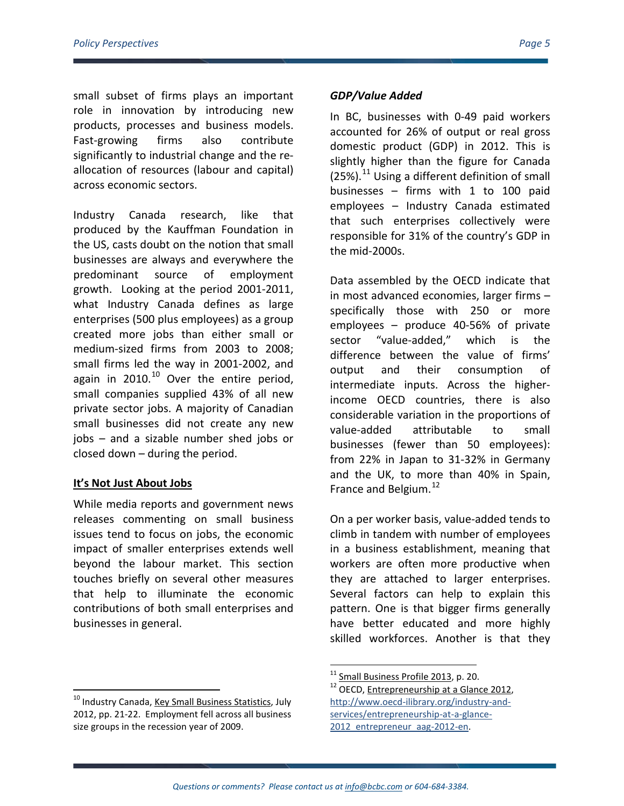small subset of firms plays an important role in innovation by introducing new products, processes and business models. Fast-growing firms also contribute significantly to industrial change and the reallocation of resources (labour and capital) across economic sectors.

Industry Canada research, like that produced by the Kauffman Foundation in the US, casts doubt on the notion that small businesses are always and everywhere the predominant source of employment growth. Looking at the period 2001-2011, what Industry Canada defines as large enterprises (500 plus employees) as a group created more jobs than either small or medium-sized firms from 2003 to 2008; small firms led the way in 2001-2002, and again in  $2010.<sup>10</sup>$  $2010.<sup>10</sup>$  $2010.<sup>10</sup>$  Over the entire period, small companies supplied 43% of all new private sector jobs. A majority of Canadian small businesses did not create any new jobs – and a sizable number shed jobs or closed down – during the period.

### **It's Not Just About Jobs**

While media reports and government news releases commenting on small business issues tend to focus on jobs, the economic impact of smaller enterprises extends well beyond the labour market. This section touches briefly on several other measures that help to illuminate the economic contributions of both small enterprises and businesses in general.

### *GDP/Value Added*

In BC, businesses with 0-49 paid workers accounted for 26% of output or real gross domestic product (GDP) in 2012. This is slightly higher than the figure for Canada  $(25%)$ .<sup>[11](#page-4-1)</sup> Using a different definition of small businesses – firms with 1 to 100 paid employees – Industry Canada estimated that such enterprises collectively were responsible for 31% of the country's GDP in the mid-2000s.

Data assembled by the OECD indicate that in most advanced economies, larger firms – specifically those with 250 or more employees – produce 40-56% of private sector "value-added," which is the difference between the value of firms' output and their consumption of intermediate inputs. Across the higherincome OECD countries, there is also considerable variation in the proportions of value-added attributable to small businesses (fewer than 50 employees): from 22% in Japan to 31-32% in Germany and the UK, to more than 40% in Spain, France and Belgium.<sup>[12](#page-4-2)</sup>

On a per worker basis, value-added tends to climb in tandem with number of employees in a business establishment, meaning that workers are often more productive when they are attached to larger enterprises. Several factors can help to explain this pattern. One is that bigger firms generally have better educated and more highly skilled workforces. Another is that they

<span id="page-4-2"></span><span id="page-4-1"></span><span id="page-4-0"></span><sup>&</sup>lt;sup>10</sup> Industry Canada, Key Small Business Statistics, July 2012, pp. 21-22. Employment fell across all business size groups in the recession year of 2009.

<sup>&</sup>lt;sup>11</sup> Small Business Profile 2013, p. 20.<br><sup>12</sup> OECD, <u>Entrepreneurship at a Glance 2012</u>, [http://www.oecd-ilibrary.org/industry-and](http://www.oecd-ilibrary.org/industry-and-services/entrepreneurship-at-a-glance-2012_entrepreneur_aag-2012-en)[services/entrepreneurship-at-a-glance-](http://www.oecd-ilibrary.org/industry-and-services/entrepreneurship-at-a-glance-2012_entrepreneur_aag-2012-en)2012 entrepreneur aag-2012-en.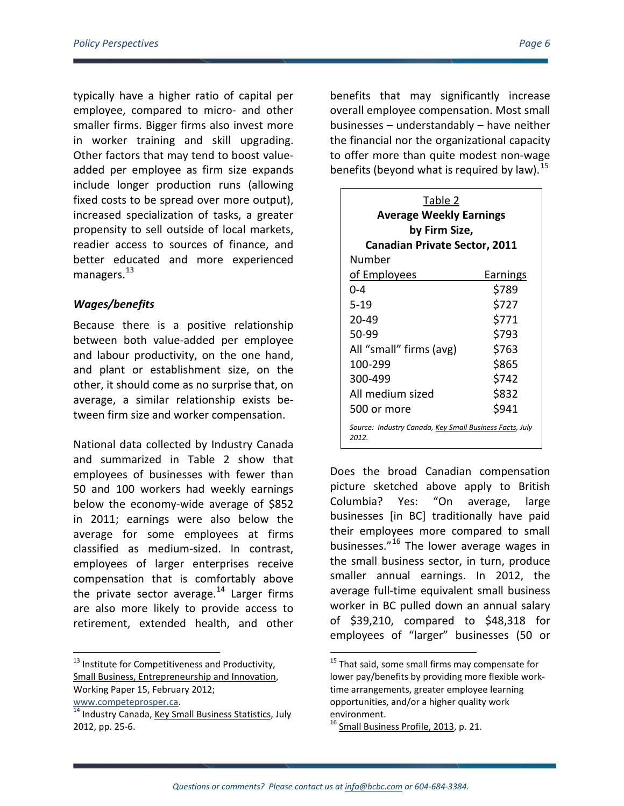typically have a higher ratio of capital per employee, compared to micro- and other smaller firms. Bigger firms also invest more in worker training and skill upgrading. Other factors that may tend to boost valueadded per employee as firm size expands include longer production runs (allowing fixed costs to be spread over more output), increased specialization of tasks, a greater propensity to sell outside of local markets, readier access to sources of finance, and better educated and more experienced managers.<sup>13</sup>

### *Wages/benefits*

Because there is a positive relationship between both value-added per employee and labour productivity, on the one hand, and plant or establishment size, on the other, it should come as no surprise that, on average, a similar relationship exists between firm size and worker compensation.

National data collected by Industry Canada and summarized in Table 2 show that employees of businesses with fewer than 50 and 100 workers had weekly earnings below the economy-wide average of \$852 in 2011; earnings were also below the average for some employees at firms classified as medium-sized. In contrast, employees of larger enterprises receive compensation that is comfortably above the private sector average.<sup>[14](#page-5-1)</sup> Larger firms are also more likely to provide access to retirement, extended health, and other

<span id="page-5-0"></span><sup>13</sup> Institute for Competitiveness and Productivity, Small Business, Entrepreneurship and Innovation, Working Paper 15, February 2012; [www.competeprosper.ca.](http://www.competeprosper.ca/)<br><sup>14</sup> Industry Canada, Key Small Business Statistics, July benefits that may significantly increase overall employee compensation. Most small businesses – understandably – have neither the financial nor the organizational capacity to offer more than quite modest non-wage benefits (beyond what is required by law).  $^{15}$  $^{15}$  $^{15}$ 

| Table 2<br><b>Average Weekly Earnings</b><br>by Firm Size,       |          |  |
|------------------------------------------------------------------|----------|--|
| <b>Canadian Private Sector, 2011</b>                             |          |  |
| Number                                                           |          |  |
| <u>of Employees</u>                                              | Earnings |  |
| 0-4                                                              | \$789    |  |
| $5 - 19$                                                         | \$727    |  |
| 20-49                                                            | \$771    |  |
| 50-99                                                            | \$793    |  |
| All "small" firms (avg)                                          | \$763    |  |
| 100-299                                                          | \$865    |  |
| 300-499                                                          | \$742    |  |
| All medium sized                                                 | \$832    |  |
| 500 or more                                                      | \$941    |  |
| Source: Industry Canada, Key Small Business Facts, July<br>2012. |          |  |

Does the broad Canadian compensation picture sketched above apply to British Columbia? Yes: "On average, large businesses [in BC] traditionally have paid their employees more compared to small businesses."[16](#page-5-2) The lower average wages in the small business sector, in turn, produce smaller annual earnings. In 2012, the average full-time equivalent small business worker in BC pulled down an annual salary of \$39,210, compared to \$48,318 for employees of "larger" businesses (50 or

<span id="page-5-2"></span><span id="page-5-1"></span><sup>2012,</sup> pp. 25-6.

<sup>&</sup>lt;sup>15</sup> That said, some small firms may compensate for lower pay/benefits by providing more flexible worktime arrangements, greater employee learning opportunities, and/or a higher quality work environment.

 $^{16}$  Small Business Profile, 2013, p. 21.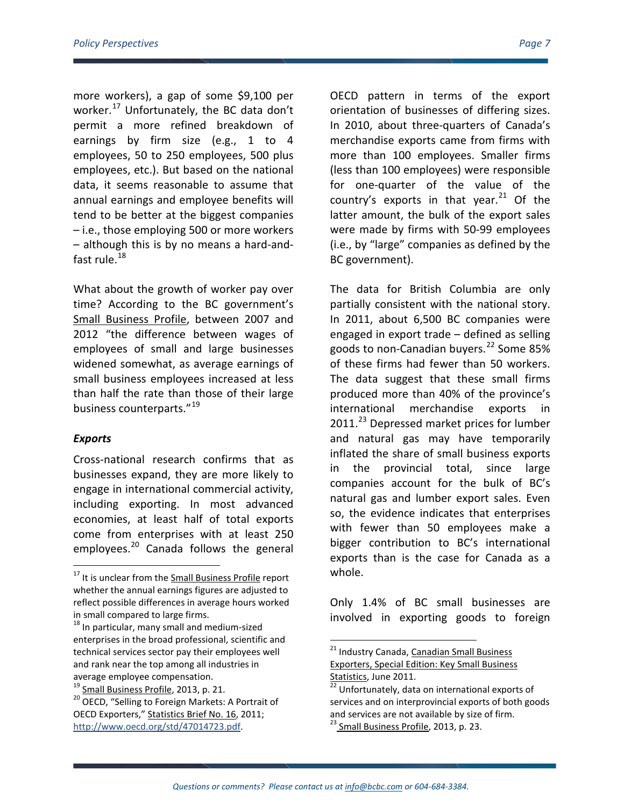more workers), a gap of some \$9,100 per worker.<sup>[17](#page-6-0)</sup> Unfortunately, the BC data don't permit a more refined breakdown of earnings by firm size (e.g., 1 to 4 employees, 50 to 250 employees, 500 plus employees, etc.). But based on the national data, it seems reasonable to assume that annual earnings and employee benefits will tend to be better at the biggest companies – i.e., those employing 500 or more workers – although this is by no means a hard-andfast rule. $18$ 

What about the growth of worker pay over time? According to the BC government's Small Business Profile, between 2007 and 2012 "the difference between wages of employees of small and large businesses widened somewhat, as average earnings of small business employees increased at less than half the rate than those of their large business counterparts."<sup>[19](#page-6-2)</sup>

### *Exports*

Cross-national research confirms that as businesses expand, they are more likely to engage in international commercial activity, including exporting. In most advanced economies, at least half of total exports come from enterprises with at least 250 employees.<sup>[20](#page-6-3)</sup> Canada follows the general OECD pattern in terms of the export orientation of businesses of differing sizes. In 2010, about three-quarters of Canada's merchandise exports came from firms with more than 100 employees. Smaller firms (less than 100 employees) were responsible for one-quarter of the value of the country's exports in that year.<sup>[21](#page-6-4)</sup> Of the latter amount, the bulk of the export sales were made by firms with 50-99 employees (i.e., by "large" companies as defined by the BC government).

The data for British Columbia are only partially consistent with the national story. In 2011, about 6,500 BC companies were engaged in export trade – defined as selling goods to non-Canadian buyers. [22](#page-6-2) Some 85% of these firms had fewer than 50 workers. The data suggest that these small firms produced more than 40% of the province's international merchandise exports in 2011.<sup>[23](#page-6-5)</sup> Depressed market prices for lumber and natural gas may have temporarily inflated the share of small business exports in the provincial total, since large companies account for the bulk of BC's natural gas and lumber export sales. Even so, the evidence indicates that enterprises with fewer than 50 employees make a bigger contribution to BC's international exports than is the case for Canada as a whole.

Only 1.4% of BC small businesses are involved in exporting goods to foreign

<span id="page-6-0"></span><sup>&</sup>lt;sup>17</sup> It is unclear from the Small Business Profile report whether the annual earnings figures are adjusted to reflect possible differences in average hours worked in small compared to large firms.

<span id="page-6-4"></span><span id="page-6-1"></span><sup>&</sup>lt;sup>18</sup> In particular, many small and medium-sized enterprises in the broad professional, scientific and technical services sector pay their employees well and rank near the top among all industries in average employee compensation.<br><sup>19</sup> Small Business Profile, 2013, p. 21.

<span id="page-6-5"></span><span id="page-6-3"></span><span id="page-6-2"></span><sup>&</sup>lt;sup>20</sup> OECD, "Selling to Foreign Markets: A Portrait of OECD Exporters," Statistics Brief No. 16, 2011; [http://www.oecd.org/std/47014723.pdf.](http://www.oecd.org/std/47014723.pdf)

<sup>&</sup>lt;sup>21</sup> Industry Canada, Canadian Small Business Exporters, Special Edition: Key Small Business Statistics, June 2011.<br><sup>22</sup> Unfortunately, data on international exports of

services and on interprovincial exports of both goods and services are not available by size of firm. <sup>23</sup> Small Business Profile, 2013, p. 23.